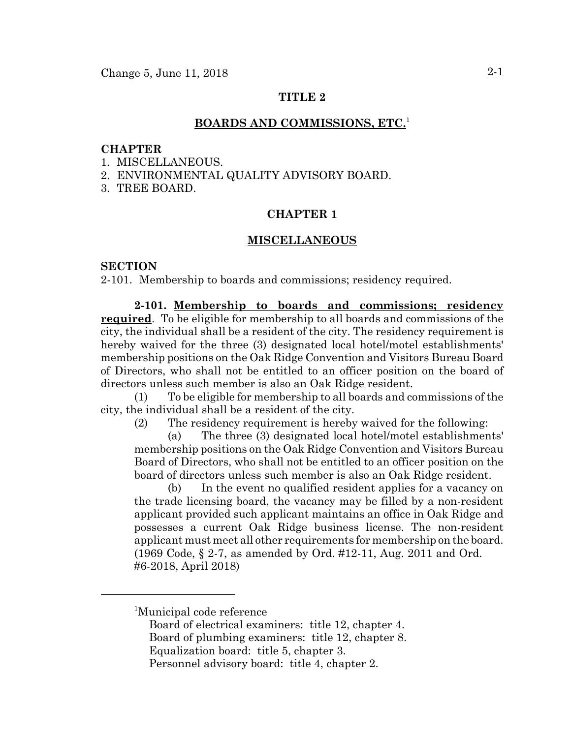# **TITLE 2**

### **BOARDS AND COMMISSIONS, ETC.**<sup>1</sup>

### **CHAPTER**

- 1. MISCELLANEOUS.
- 2. ENVIRONMENTAL QUALITY ADVISORY BOARD.
- 3. TREE BOARD.

### **CHAPTER 1**

#### **MISCELLANEOUS**

### **SECTION**

2-101. Membership to boards and commissions; residency required.

**2-101. Membership to boards and commissions; residency required**. To be eligible for membership to all boards and commissions of the city, the individual shall be a resident of the city. The residency requirement is hereby waived for the three (3) designated local hotel/motel establishments' membership positions on the Oak Ridge Convention and Visitors Bureau Board of Directors, who shall not be entitled to an officer position on the board of directors unless such member is also an Oak Ridge resident.

(1) To be eligible for membership to all boards and commissions of the city, the individual shall be a resident of the city.

(2) The residency requirement is hereby waived for the following:

(a) The three (3) designated local hotel/motel establishments' membership positions on the Oak Ridge Convention and Visitors Bureau Board of Directors, who shall not be entitled to an officer position on the board of directors unless such member is also an Oak Ridge resident.

(b) In the event no qualified resident applies for a vacancy on the trade licensing board, the vacancy may be filled by a non-resident applicant provided such applicant maintains an office in Oak Ridge and possesses a current Oak Ridge business license. The non-resident applicant must meet all other requirements for membership on the board. (1969 Code, § 2-7, as amended by Ord. #12-11, Aug. 2011 and Ord. #6-2018, April 2018)

<sup>1</sup> Municipal code reference

Board of electrical examiners: title 12, chapter 4.

Board of plumbing examiners: title 12, chapter 8.

Equalization board: title 5, chapter 3.

Personnel advisory board: title 4, chapter 2.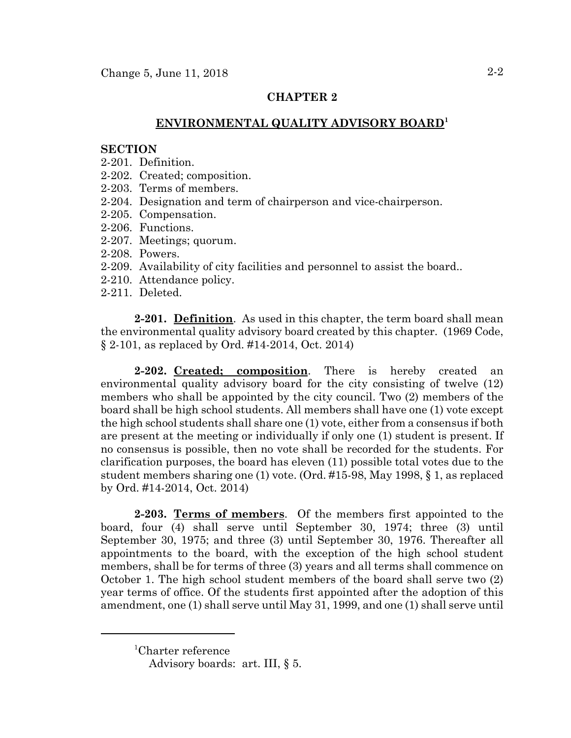# **CHAPTER 2**

# **ENVIRONMENTAL QUALITY ADVISORY BOARD<sup>1</sup>**

### **SECTION**

- 2-201. Definition.
- 2-202. Created; composition.
- 2-203. Terms of members.
- 2-204. Designation and term of chairperson and vice-chairperson.
- 2-205. Compensation.
- 2-206. Functions.
- 2-207. Meetings; quorum.
- 2-208. Powers.
- 2-209. Availability of city facilities and personnel to assist the board..
- 2-210. Attendance policy.
- 2-211. Deleted.

**2-201. Definition**. As used in this chapter, the term board shall mean the environmental quality advisory board created by this chapter. (1969 Code, § 2-101, as replaced by Ord. #14-2014, Oct. 2014)

**2-202. Created; composition**. There is hereby created an environmental quality advisory board for the city consisting of twelve (12) members who shall be appointed by the city council. Two (2) members of the board shall be high school students. All members shall have one (1) vote except the high school students shall share one (1) vote, either from a consensus if both are present at the meeting or individually if only one (1) student is present. If no consensus is possible, then no vote shall be recorded for the students. For clarification purposes, the board has eleven (11) possible total votes due to the student members sharing one (1) vote. (Ord. #15-98, May 1998, § 1, as replaced by Ord. #14-2014, Oct. 2014)

**2-203. Terms of members**. Of the members first appointed to the board, four (4) shall serve until September 30, 1974; three (3) until September 30, 1975; and three (3) until September 30, 1976. Thereafter all appointments to the board, with the exception of the high school student members, shall be for terms of three (3) years and all terms shall commence on October 1. The high school student members of the board shall serve two (2) year terms of office. Of the students first appointed after the adoption of this amendment, one (1) shall serve until May 31, 1999, and one (1) shall serve until

<sup>1</sup> Charter reference

Advisory boards: art. III, § 5.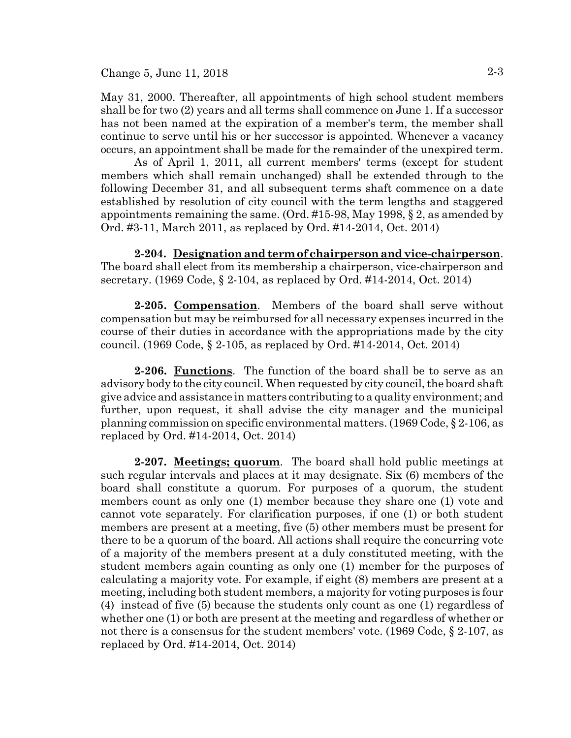May 31, 2000. Thereafter, all appointments of high school student members shall be for two (2) years and all terms shall commence on June 1. If a successor has not been named at the expiration of a member's term, the member shall continue to serve until his or her successor is appointed. Whenever a vacancy occurs, an appointment shall be made for the remainder of the unexpired term.

As of April 1, 2011, all current members' terms (except for student members which shall remain unchanged) shall be extended through to the following December 31, and all subsequent terms shaft commence on a date established by resolution of city council with the term lengths and staggered appointments remaining the same. (Ord. #15-98, May 1998, § 2, as amended by Ord. #3-11, March 2011, as replaced by Ord. #14-2014, Oct. 2014)

**2-204. Designation and term of chairperson and vice-chairperson**. The board shall elect from its membership a chairperson, vice-chairperson and secretary. (1969 Code, § 2-104, as replaced by Ord. #14-2014, Oct. 2014)

**2-205. Compensation**. Members of the board shall serve without compensation but may be reimbursed for all necessary expenses incurred in the course of their duties in accordance with the appropriations made by the city council. (1969 Code, § 2-105, as replaced by Ord. #14-2014, Oct. 2014)

**2-206. Functions**. The function of the board shall be to serve as an advisory body to the city council. When requested by city council, the board shaft give advice and assistance in matters contributing to a quality environment; and further, upon request, it shall advise the city manager and the municipal planning commission on specific environmental matters. (1969 Code, § 2-106, as replaced by Ord. #14-2014, Oct. 2014)

**2-207. Meetings; quorum**. The board shall hold public meetings at such regular intervals and places at it may designate. Six (6) members of the board shall constitute a quorum. For purposes of a quorum, the student members count as only one (1) member because they share one (1) vote and cannot vote separately. For clarification purposes, if one (1) or both student members are present at a meeting, five (5) other members must be present for there to be a quorum of the board. All actions shall require the concurring vote of a majority of the members present at a duly constituted meeting, with the student members again counting as only one (1) member for the purposes of calculating a majority vote. For example, if eight (8) members are present at a meeting, including both student members, a majority for voting purposes is four (4) instead of five (5) because the students only count as one (1) regardless of whether one (1) or both are present at the meeting and regardless of whether or not there is a consensus for the student members' vote. (1969 Code, § 2-107, as replaced by Ord. #14-2014, Oct. 2014)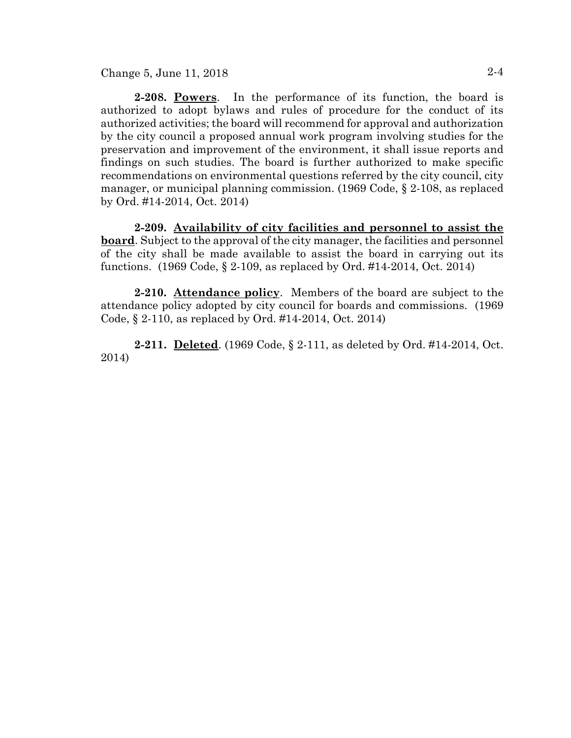Change 5, June 11, 2018 2-4

**2-208. Powers**. In the performance of its function, the board is authorized to adopt bylaws and rules of procedure for the conduct of its authorized activities; the board will recommend for approval and authorization by the city council a proposed annual work program involving studies for the preservation and improvement of the environment, it shall issue reports and findings on such studies. The board is further authorized to make specific recommendations on environmental questions referred by the city council, city manager, or municipal planning commission. (1969 Code, § 2-108, as replaced by Ord. #14-2014, Oct. 2014)

**2-209. Availability of city facilities and personnel to assist the board**. Subject to the approval of the city manager, the facilities and personnel of the city shall be made available to assist the board in carrying out its functions. (1969 Code, § 2-109, as replaced by Ord. #14-2014, Oct. 2014)

**2-210. Attendance policy**. Members of the board are subject to the attendance policy adopted by city council for boards and commissions. (1969 Code, § 2-110, as replaced by Ord. #14-2014, Oct. 2014)

**2-211. Deleted**. (1969 Code, § 2-111, as deleted by Ord. #14-2014, Oct. 2014)